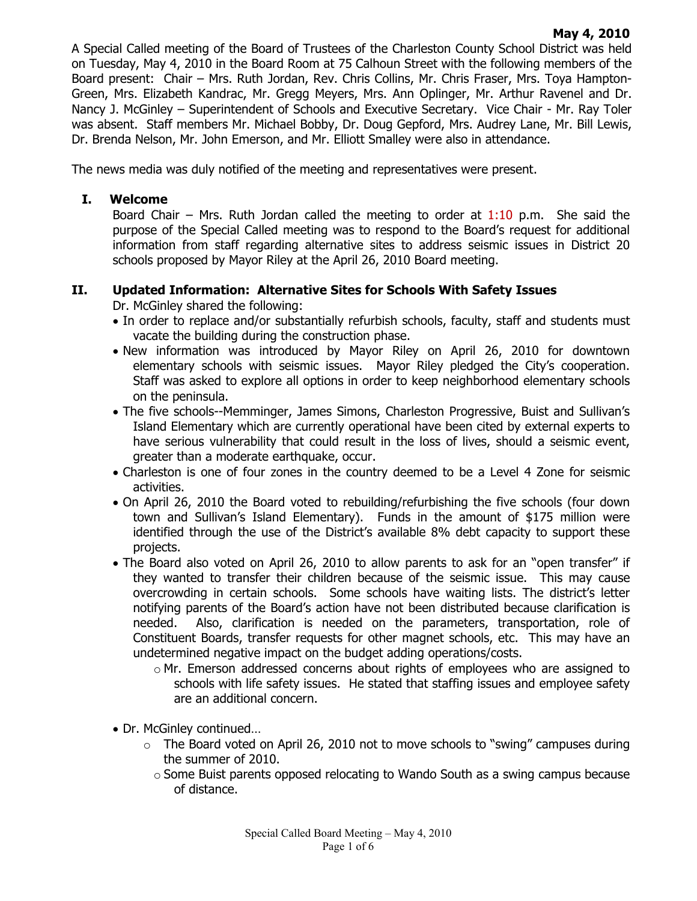A Special Called meeting of the Board of Trustees of the Charleston County School District was held on Tuesday, May 4, 2010 in the Board Room at 75 Calhoun Street with the following members of the Board present: Chair – Mrs. Ruth Jordan, Rev. Chris Collins, Mr. Chris Fraser, Mrs. Toya Hampton-Green, Mrs. Elizabeth Kandrac, Mr. Gregg Meyers, Mrs. Ann Oplinger, Mr. Arthur Ravenel and Dr. Nancy J. McGinley – Superintendent of Schools and Executive Secretary. Vice Chair - Mr. Ray Toler was absent. Staff members Mr. Michael Bobby, Dr. Doug Gepford, Mrs. Audrey Lane, Mr. Bill Lewis, Dr. Brenda Nelson, Mr. John Emerson, and Mr. Elliott Smalley were also in attendance.

The news media was duly notified of the meeting and representatives were present.

## **I. Welcome**

Board Chair – Mrs. Ruth Jordan called the meeting to order at  $1:10$  p.m. She said the purpose of the Special Called meeting was to respond to the Board's request for additional information from staff regarding alternative sites to address seismic issues in District 20 schools proposed by Mayor Riley at the April 26, 2010 Board meeting.

## **II. Updated Information: Alternative Sites for Schools With Safety Issues**

Dr. McGinley shared the following:

- In order to replace and/or substantially refurbish schools, faculty, staff and students must vacate the building during the construction phase.
- New information was introduced by Mayor Riley on April 26, 2010 for downtown elementary schools with seismic issues. Mayor Riley pledged the City's cooperation. Staff was asked to explore all options in order to keep neighborhood elementary schools on the peninsula.
- The five schools--Memminger, James Simons, Charleston Progressive, Buist and Sullivan's Island Elementary which are currently operational have been cited by external experts to have serious vulnerability that could result in the loss of lives, should a seismic event, greater than a moderate earthquake, occur.
- Charleston is one of four zones in the country deemed to be a Level 4 Zone for seismic activities.
- On April 26, 2010 the Board voted to rebuilding/refurbishing the five schools (four down town and Sullivan's Island Elementary). Funds in the amount of \$175 million were identified through the use of the District's available 8% debt capacity to support these projects.
- The Board also voted on April 26, 2010 to allow parents to ask for an "open transfer" if they wanted to transfer their children because of the seismic issue. This may cause overcrowding in certain schools. Some schools have waiting lists. The district's letter notifying parents of the Board's action have not been distributed because clarification is needed. Also, clarification is needed on the parameters, transportation, role of Constituent Boards, transfer requests for other magnet schools, etc. This may have an undetermined negative impact on the budget adding operations/costs.
	- $\circ$  Mr. Emerson addressed concerns about rights of employees who are assigned to schools with life safety issues. He stated that staffing issues and employee safety are an additional concern.
- Dr. McGinley continued…
	- $\circ$  The Board voted on April 26, 2010 not to move schools to "swing" campuses during the summer of 2010.
		- $\circ$  Some Buist parents opposed relocating to Wando South as a swing campus because of distance.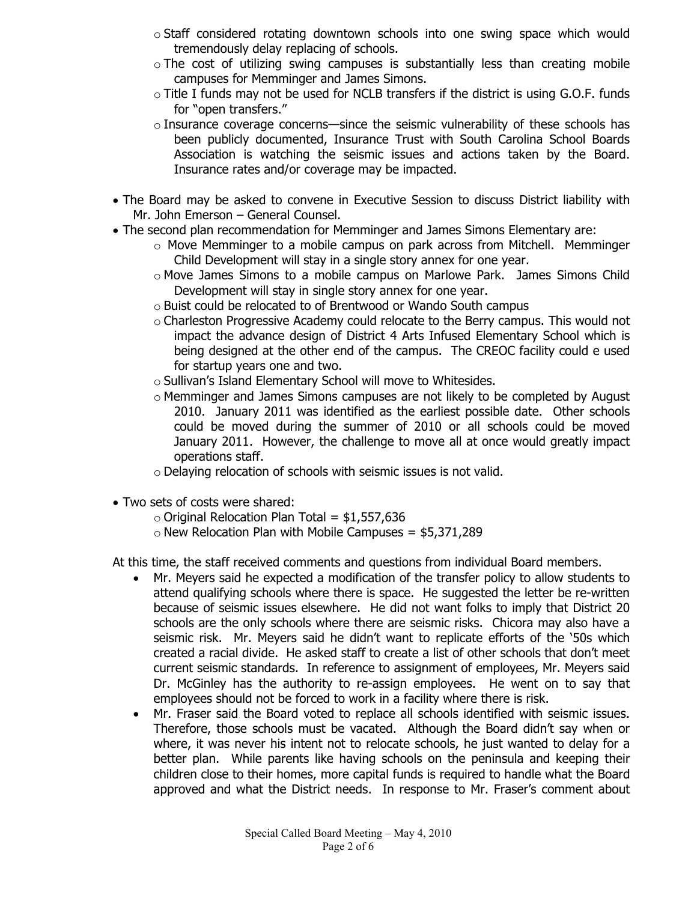- $\circ$  Staff considered rotating downtown schools into one swing space which would tremendously delay replacing of schools.
- $\circ$  The cost of utilizing swing campuses is substantially less than creating mobile campuses for Memminger and James Simons.
- o Title I funds may not be used for NCLB transfers if the district is using G.O.F. funds for "open transfers."
- $\circ$  Insurance coverage concerns—since the seismic vulnerability of these schools has been publicly documented, Insurance Trust with South Carolina School Boards Association is watching the seismic issues and actions taken by the Board. Insurance rates and/or coverage may be impacted.
- The Board may be asked to convene in Executive Session to discuss District liability with Mr. John Emerson – General Counsel.
- The second plan recommendation for Memminger and James Simons Elementary are:
	- $\circ$  Move Memminger to a mobile campus on park across from Mitchell. Memminger Child Development will stay in a single story annex for one year.
	- o Move James Simons to a mobile campus on Marlowe Park. James Simons Child Development will stay in single story annex for one year.
	- o Buist could be relocated to of Brentwood or Wando South campus
	- o Charleston Progressive Academy could relocate to the Berry campus. This would not impact the advance design of District 4 Arts Infused Elementary School which is being designed at the other end of the campus. The CREOC facility could e used for startup years one and two.
	- o Sullivan's Island Elementary School will move to Whitesides.
	- o Memminger and James Simons campuses are not likely to be completed by August 2010. January 2011 was identified as the earliest possible date. Other schools could be moved during the summer of 2010 or all schools could be moved January 2011. However, the challenge to move all at once would greatly impact operations staff.
	- o Delaying relocation of schools with seismic issues is not valid.
- Two sets of costs were shared:
	- $\circ$  Original Relocation Plan Total = \$1,557,636
	- $\circ$  New Relocation Plan with Mobile Campuses = \$5,371,289

At this time, the staff received comments and questions from individual Board members.

- Mr. Meyers said he expected a modification of the transfer policy to allow students to attend qualifying schools where there is space. He suggested the letter be re-written because of seismic issues elsewhere. He did not want folks to imply that District 20 schools are the only schools where there are seismic risks. Chicora may also have a seismic risk. Mr. Meyers said he didn't want to replicate efforts of the '50s which created a racial divide. He asked staff to create a list of other schools that don't meet current seismic standards. In reference to assignment of employees, Mr. Meyers said Dr. McGinley has the authority to re-assign employees. He went on to say that employees should not be forced to work in a facility where there is risk.
- Mr. Fraser said the Board voted to replace all schools identified with seismic issues. Therefore, those schools must be vacated. Although the Board didn't say when or where, it was never his intent not to relocate schools, he just wanted to delay for a better plan. While parents like having schools on the peninsula and keeping their children close to their homes, more capital funds is required to handle what the Board approved and what the District needs. In response to Mr. Fraser's comment about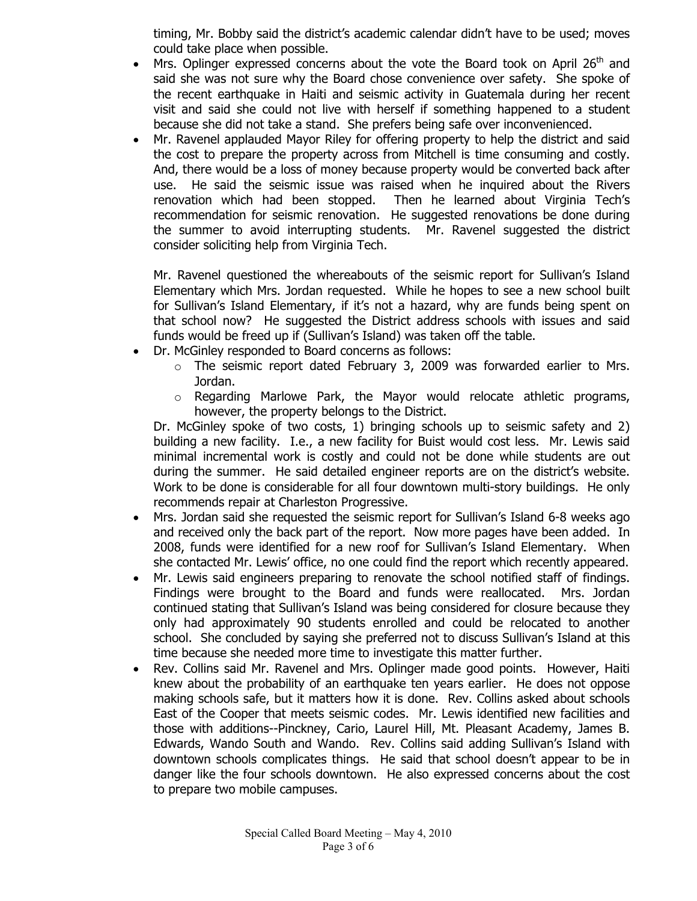timing, Mr. Bobby said the district's academic calendar didn't have to be used; moves could take place when possible.

- Mrs. Oplinger expressed concerns about the vote the Board took on April 26<sup>th</sup> and said she was not sure why the Board chose convenience over safety. She spoke of the recent earthquake in Haiti and seismic activity in Guatemala during her recent visit and said she could not live with herself if something happened to a student because she did not take a stand. She prefers being safe over inconvenienced.
- Mr. Ravenel applauded Mayor Riley for offering property to help the district and said the cost to prepare the property across from Mitchell is time consuming and costly. And, there would be a loss of money because property would be converted back after use. He said the seismic issue was raised when he inquired about the Rivers renovation which had been stopped. Then he learned about Virginia Tech's recommendation for seismic renovation. He suggested renovations be done during the summer to avoid interrupting students. Mr. Ravenel suggested the district consider soliciting help from Virginia Tech.

Mr. Ravenel questioned the whereabouts of the seismic report for Sullivan's Island Elementary which Mrs. Jordan requested. While he hopes to see a new school built for Sullivan's Island Elementary, if it's not a hazard, why are funds being spent on that school now? He suggested the District address schools with issues and said funds would be freed up if (Sullivan's Island) was taken off the table.

- Dr. McGinley responded to Board concerns as follows:
	- o The seismic report dated February 3, 2009 was forwarded earlier to Mrs. Jordan.
	- o Regarding Marlowe Park, the Mayor would relocate athletic programs, however, the property belongs to the District.

Dr. McGinley spoke of two costs, 1) bringing schools up to seismic safety and 2) building a new facility. I.e., a new facility for Buist would cost less. Mr. Lewis said minimal incremental work is costly and could not be done while students are out during the summer. He said detailed engineer reports are on the district's website. Work to be done is considerable for all four downtown multi-story buildings. He only recommends repair at Charleston Progressive.

- Mrs. Jordan said she requested the seismic report for Sullivan's Island 6-8 weeks ago and received only the back part of the report. Now more pages have been added. In 2008, funds were identified for a new roof for Sullivan's Island Elementary. When she contacted Mr. Lewis' office, no one could find the report which recently appeared.
- Mr. Lewis said engineers preparing to renovate the school notified staff of findings. Findings were brought to the Board and funds were reallocated. Mrs. Jordan continued stating that Sullivan's Island was being considered for closure because they only had approximately 90 students enrolled and could be relocated to another school. She concluded by saying she preferred not to discuss Sullivan's Island at this time because she needed more time to investigate this matter further.
- Rev. Collins said Mr. Ravenel and Mrs. Oplinger made good points. However, Haiti knew about the probability of an earthquake ten years earlier. He does not oppose making schools safe, but it matters how it is done. Rev. Collins asked about schools East of the Cooper that meets seismic codes. Mr. Lewis identified new facilities and those with additions--Pinckney, Cario, Laurel Hill, Mt. Pleasant Academy, James B. Edwards, Wando South and Wando. Rev. Collins said adding Sullivan's Island with downtown schools complicates things. He said that school doesn't appear to be in danger like the four schools downtown. He also expressed concerns about the cost to prepare two mobile campuses.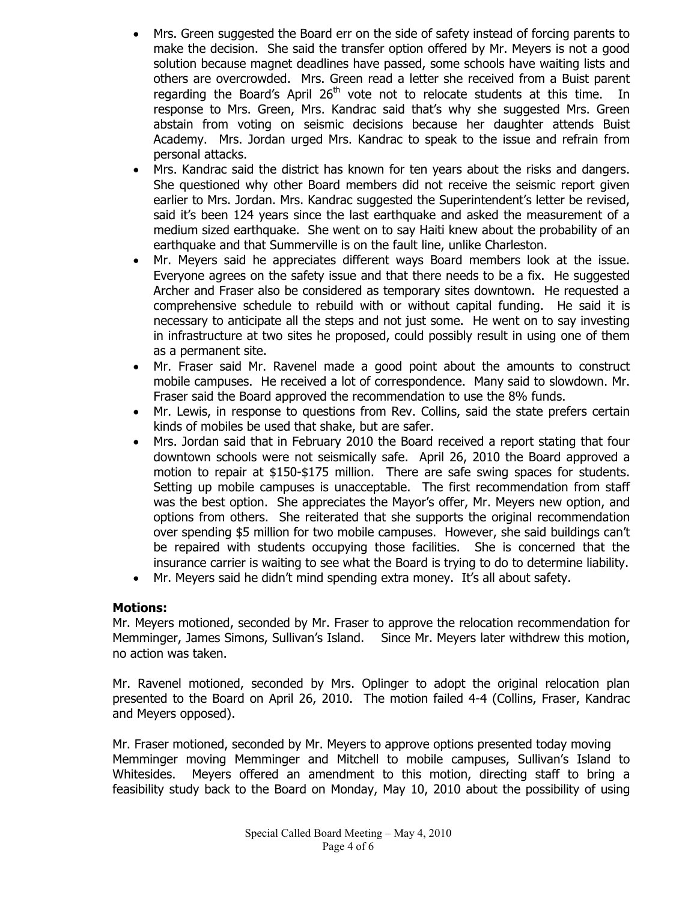- Mrs. Green suggested the Board err on the side of safety instead of forcing parents to make the decision. She said the transfer option offered by Mr. Meyers is not a good solution because magnet deadlines have passed, some schools have waiting lists and others are overcrowded. Mrs. Green read a letter she received from a Buist parent regarding the Board's April 26<sup>th</sup> vote not to relocate students at this time. In response to Mrs. Green, Mrs. Kandrac said that's why she suggested Mrs. Green abstain from voting on seismic decisions because her daughter attends Buist Academy. Mrs. Jordan urged Mrs. Kandrac to speak to the issue and refrain from personal attacks.
- Mrs. Kandrac said the district has known for ten years about the risks and dangers. She questioned why other Board members did not receive the seismic report given earlier to Mrs. Jordan. Mrs. Kandrac suggested the Superintendent's letter be revised, said it's been 124 years since the last earthquake and asked the measurement of a medium sized earthquake. She went on to say Haiti knew about the probability of an earthquake and that Summerville is on the fault line, unlike Charleston.
- Mr. Meyers said he appreciates different ways Board members look at the issue. Everyone agrees on the safety issue and that there needs to be a fix. He suggested Archer and Fraser also be considered as temporary sites downtown. He requested a comprehensive schedule to rebuild with or without capital funding. He said it is necessary to anticipate all the steps and not just some. He went on to say investing in infrastructure at two sites he proposed, could possibly result in using one of them as a permanent site.
- Mr. Fraser said Mr. Ravenel made a good point about the amounts to construct mobile campuses. He received a lot of correspondence. Many said to slowdown. Mr. Fraser said the Board approved the recommendation to use the 8% funds.
- Mr. Lewis, in response to questions from Rev. Collins, said the state prefers certain kinds of mobiles be used that shake, but are safer.
- Mrs. Jordan said that in February 2010 the Board received a report stating that four downtown schools were not seismically safe. April 26, 2010 the Board approved a motion to repair at \$150-\$175 million. There are safe swing spaces for students. Setting up mobile campuses is unacceptable. The first recommendation from staff was the best option. She appreciates the Mayor's offer, Mr. Meyers new option, and options from others. She reiterated that she supports the original recommendation over spending \$5 million for two mobile campuses. However, she said buildings can't be repaired with students occupying those facilities. She is concerned that the insurance carrier is waiting to see what the Board is trying to do to determine liability.
- Mr. Meyers said he didn't mind spending extra money. It's all about safety.

## **Motions:**

Mr. Meyers motioned, seconded by Mr. Fraser to approve the relocation recommendation for Memminger, James Simons, Sullivan's Island. Since Mr. Meyers later withdrew this motion, no action was taken.

Mr. Ravenel motioned, seconded by Mrs. Oplinger to adopt the original relocation plan presented to the Board on April 26, 2010. The motion failed 4-4 (Collins, Fraser, Kandrac and Meyers opposed).

Mr. Fraser motioned, seconded by Mr. Meyers to approve options presented today moving Memminger moving Memminger and Mitchell to mobile campuses, Sullivan's Island to Whitesides. Meyers offered an amendment to this motion, directing staff to bring a feasibility study back to the Board on Monday, May 10, 2010 about the possibility of using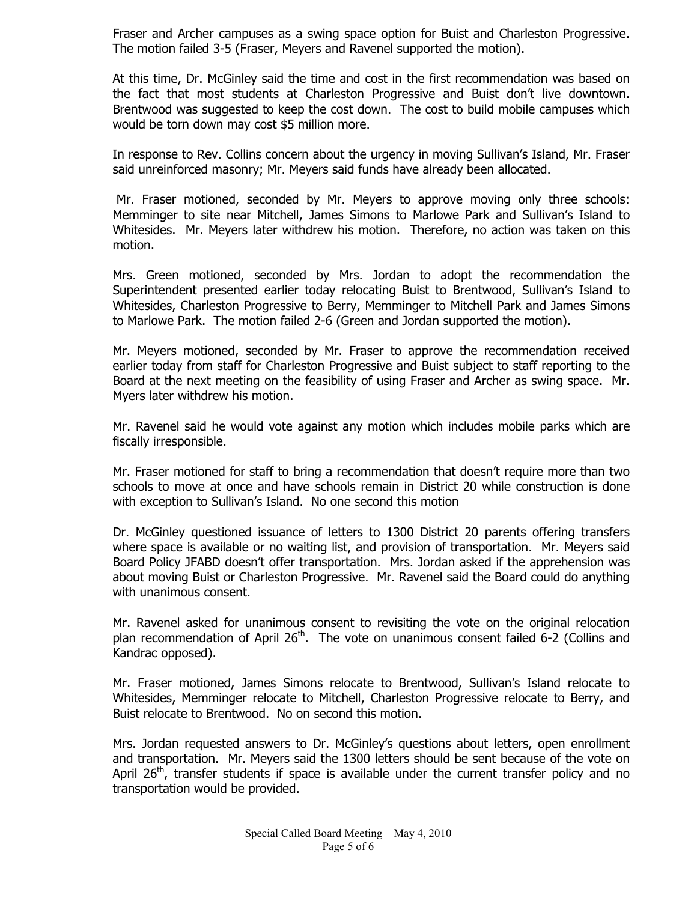Fraser and Archer campuses as a swing space option for Buist and Charleston Progressive. The motion failed 3-5 (Fraser, Meyers and Ravenel supported the motion).

At this time, Dr. McGinley said the time and cost in the first recommendation was based on the fact that most students at Charleston Progressive and Buist don't live downtown. Brentwood was suggested to keep the cost down. The cost to build mobile campuses which would be torn down may cost \$5 million more.

In response to Rev. Collins concern about the urgency in moving Sullivan's Island, Mr. Fraser said unreinforced masonry; Mr. Meyers said funds have already been allocated.

 Mr. Fraser motioned, seconded by Mr. Meyers to approve moving only three schools: Memminger to site near Mitchell, James Simons to Marlowe Park and Sullivan's Island to Whitesides. Mr. Meyers later withdrew his motion. Therefore, no action was taken on this motion.

Mrs. Green motioned, seconded by Mrs. Jordan to adopt the recommendation the Superintendent presented earlier today relocating Buist to Brentwood, Sullivan's Island to Whitesides, Charleston Progressive to Berry, Memminger to Mitchell Park and James Simons to Marlowe Park. The motion failed 2-6 (Green and Jordan supported the motion).

Mr. Meyers motioned, seconded by Mr. Fraser to approve the recommendation received earlier today from staff for Charleston Progressive and Buist subject to staff reporting to the Board at the next meeting on the feasibility of using Fraser and Archer as swing space. Mr. Myers later withdrew his motion.

Mr. Ravenel said he would vote against any motion which includes mobile parks which are fiscally irresponsible.

Mr. Fraser motioned for staff to bring a recommendation that doesn't require more than two schools to move at once and have schools remain in District 20 while construction is done with exception to Sullivan's Island. No one second this motion

Dr. McGinley questioned issuance of letters to 1300 District 20 parents offering transfers where space is available or no waiting list, and provision of transportation. Mr. Meyers said Board Policy JFABD doesn't offer transportation. Mrs. Jordan asked if the apprehension was about moving Buist or Charleston Progressive. Mr. Ravenel said the Board could do anything with unanimous consent.

Mr. Ravenel asked for unanimous consent to revisiting the vote on the original relocation plan recommendation of April  $26<sup>th</sup>$ . The vote on unanimous consent failed 6-2 (Collins and Kandrac opposed).

Mr. Fraser motioned, James Simons relocate to Brentwood, Sullivan's Island relocate to Whitesides, Memminger relocate to Mitchell, Charleston Progressive relocate to Berry, and Buist relocate to Brentwood. No on second this motion.

Mrs. Jordan requested answers to Dr. McGinley's questions about letters, open enrollment and transportation. Mr. Meyers said the 1300 letters should be sent because of the vote on April  $26<sup>th</sup>$ , transfer students if space is available under the current transfer policy and no transportation would be provided.